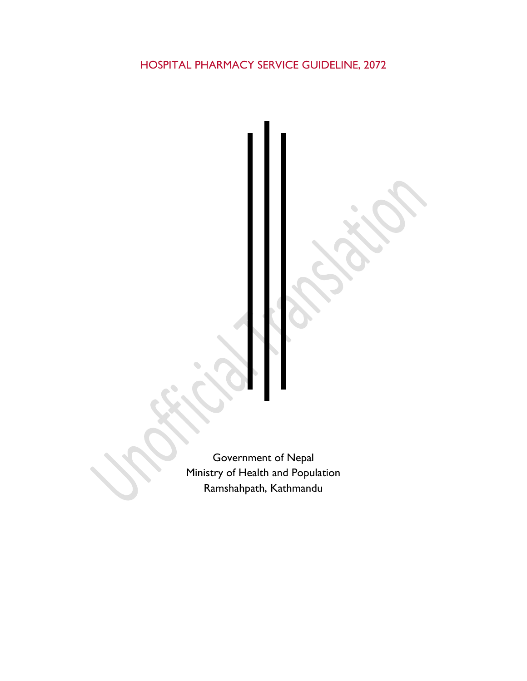Government of Nepal Ministry of Health and Population Ramshahpath, Kathmandu

۰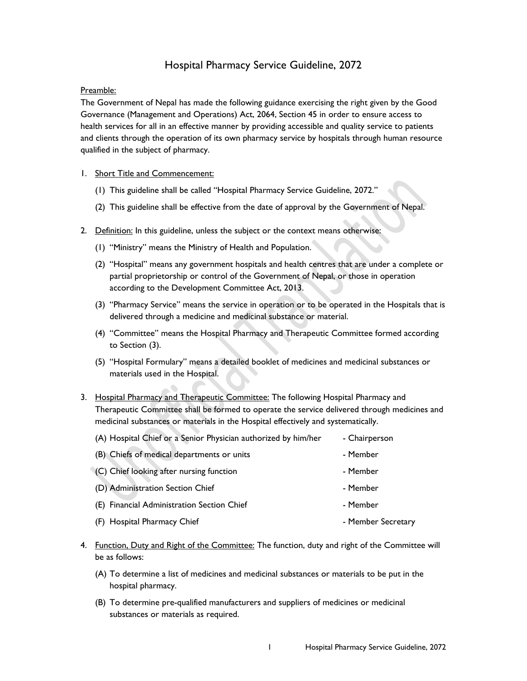# Hospital Pharmacy Service Guideline, 2072

# Preamble:

The Government of Nepal has made the following guidance exercising the right given by the Good Governance (Management and Operations) Act, 2064, Section 45 in order to ensure access to health services for all in an effective manner by providing accessible and quality service to patients and clients through the operation of its own pharmacy service by hospitals through human resource qualified in the subject of pharmacy.

### 1. Short Title and Commencement:

- (1) This guideline shall be called "Hospital Pharmacy Service Guideline, 2072."
- (2) This guideline shall be effective from the date of approval by the Government of Nepal.
- 2. Definition: In this guideline, unless the subject or the context means otherwise:
	- (1) "Ministry" means the Ministry of Health and Population.
	- (2) "Hospital" means any government hospitals and health centres that are under a complete or partial proprietorship or control of the Government of Nepal, or those in operation according to the Development Committee Act, 2013.
	- (3) "Pharmacy Service" means the service in operation or to be operated in the Hospitals that is delivered through a medicine and medicinal substance or material.
	- (4) "Committee" means the Hospital Pharmacy and Therapeutic Committee formed according to Section (3).
	- (5) "Hospital Formulary" means a detailed booklet of medicines and medicinal substances or materials used in the Hospital.
- 3. Hospital Pharmacy and Therapeutic Committee: The following Hospital Pharmacy and Therapeutic Committee shall be formed to operate the service delivered through medicines and medicinal substances or materials in the Hospital effectively and systematically.

| (A) Hospital Chief or a Senior Physician authorized by him/her | - Chairperson      |
|----------------------------------------------------------------|--------------------|
| (B) Chiefs of medical departments or units                     | - Member           |
| (C) Chief looking after nursing function                       | - Member           |
| (D) Administration Section Chief                               | - Member           |
| (E) Financial Administration Section Chief                     | - Member           |
| (F) Hospital Pharmacy Chief                                    | - Member Secretary |

- 4. Function, Duty and Right of the Committee: The function, duty and right of the Committee will be as follows:
	- (A) To determine a list of medicines and medicinal substances or materials to be put in the hospital pharmacy.
	- (B) To determine pre-qualified manufacturers and suppliers of medicines or medicinal substances or materials as required.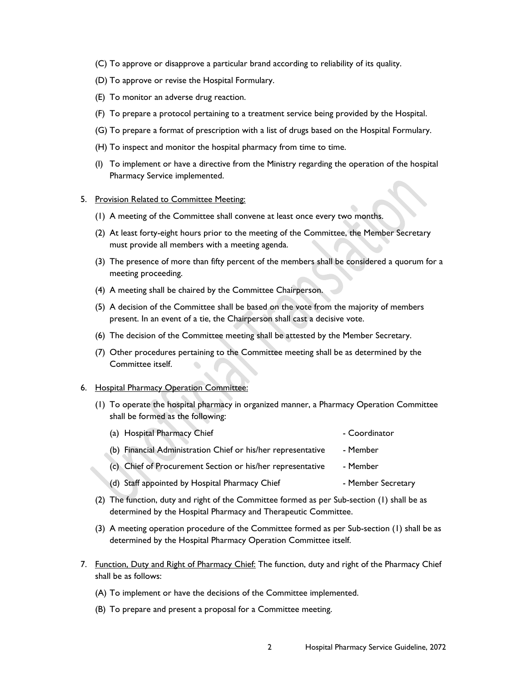- (C) To approve or disapprove a particular brand according to reliability of its quality.
- (D) To approve or revise the Hospital Formulary.
- (E) To monitor an adverse drug reaction.
- (F) To prepare a protocol pertaining to a treatment service being provided by the Hospital.
- (G) To prepare a format of prescription with a list of drugs based on the Hospital Formulary.
- (H) To inspect and monitor the hospital pharmacy from time to time.
- (I) To implement or have a directive from the Ministry regarding the operation of the hospital Pharmacy Service implemented.

#### 5. Provision Related to Committee Meeting:

- (1) A meeting of the Committee shall convene at least once every two months.
- (2) At least forty-eight hours prior to the meeting of the Committee, the Member Secretary must provide all members with a meeting agenda.
- (3) The presence of more than fifty percent of the members shall be considered a quorum for a meeting proceeding.
- (4) A meeting shall be chaired by the Committee Chairperson.
- (5) A decision of the Committee shall be based on the vote from the majority of members present. In an event of a tie, the Chairperson shall cast a decisive vote.
- (6) The decision of the Committee meeting shall be attested by the Member Secretary.
- (7) Other procedures pertaining to the Committee meeting shall be as determined by the Committee itself.

# 6. Hospital Pharmacy Operation Committee:

(1) To operate the hospital pharmacy in organized manner, a Pharmacy Operation Committee shall be formed as the following:

| (a) Hospital Pharmacy Chief                                                          | - Coordinator      |
|--------------------------------------------------------------------------------------|--------------------|
| (b) Financial Administration Chief or his/her representative                         | - Member           |
| (c) Chief of Procurement Section or his/her representative                           | - Member           |
| (d) Staff appointed by Hospital Pharmacy Chief                                       | - Member Secretary |
| The function, duty and vight of the Committee formed as non Cub section (1) shall be |                    |

- (2) The function, duty and right of the Committee formed as per Sub-section (1) shall be as determined by the Hospital Pharmacy and Therapeutic Committee.
- (3) A meeting operation procedure of the Committee formed as per Sub-section (1) shall be as determined by the Hospital Pharmacy Operation Committee itself.
- 7. Function, Duty and Right of Pharmacy Chief: The function, duty and right of the Pharmacy Chief shall be as follows:
	- (A) To implement or have the decisions of the Committee implemented.
	- (B) To prepare and present a proposal for a Committee meeting.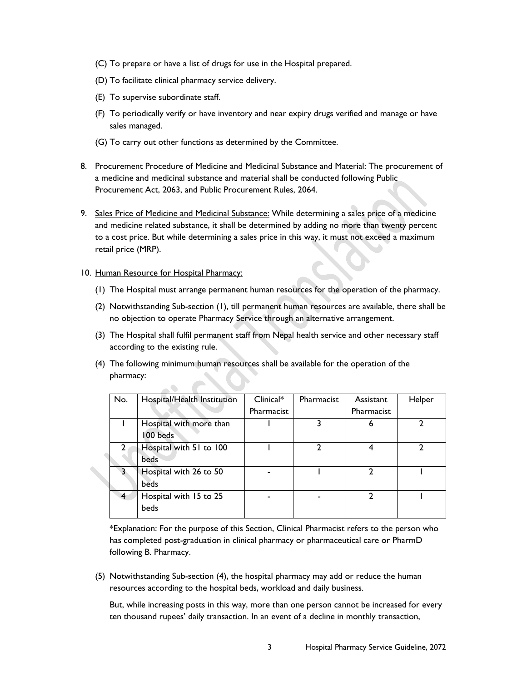- (C) To prepare or have a list of drugs for use in the Hospital prepared.
- (D) To facilitate clinical pharmacy service delivery.
- (E) To supervise subordinate staff.
- (F) To periodically verify or have inventory and near expiry drugs verified and manage or have sales managed.
- (G) To carry out other functions as determined by the Committee.
- 8. Procurement Procedure of Medicine and Medicinal Substance and Material: The procurement of a medicine and medicinal substance and material shall be conducted following Public Procurement Act, 2063, and Public Procurement Rules, 2064.
- 9. Sales Price of Medicine and Medicinal Substance: While determining a sales price of a medicine and medicine related substance, it shall be determined by adding no more than twenty percent to a cost price. But while determining a sales price in this way, it must not exceed a maximum retail price (MRP).

#### 10. Human Resource for Hospital Pharmacy:

- (1) The Hospital must arrange permanent human resources for the operation of the pharmacy.
- (2) Notwithstanding Sub-section (1), till permanent human resources are available, there shall be no objection to operate Pharmacy Service through an alternative arrangement.
- (3) The Hospital shall fulfil permanent staff from Nepal health service and other necessary staff according to the existing rule.
- (4) The following minimum human resources shall be available for the operation of the pharmacy:

| No.            | Hospital/Health Institution           | Clinical*  | Pharmacist | Assistant  | Helper |
|----------------|---------------------------------------|------------|------------|------------|--------|
|                |                                       | Pharmacist |            | Pharmacist |        |
|                | Hospital with more than<br>100 beds   |            |            | 6          |        |
|                | Hospital with 51 to 100<br>beds       |            | າ          |            |        |
|                | Hospital with 26 to 50<br>beds        |            |            | າ          |        |
| $\overline{4}$ | Hospital with 15 to 25<br><b>beds</b> |            |            |            |        |

\*Explanation: For the purpose of this Section, Clinical Pharmacist refers to the person who has completed post-graduation in clinical pharmacy or pharmaceutical care or PharmD following B. Pharmacy.

(5) Notwithstanding Sub-section (4), the hospital pharmacy may add or reduce the human resources according to the hospital beds, workload and daily business.

But, while increasing posts in this way, more than one person cannot be increased for every ten thousand rupees' daily transaction. In an event of a decline in monthly transaction,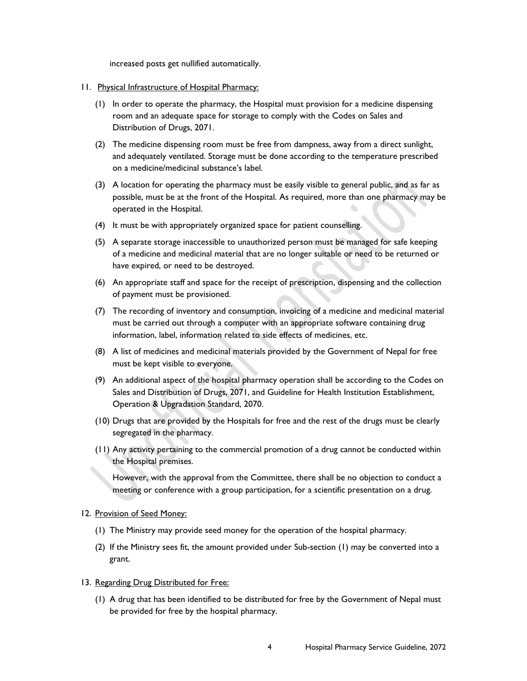increased posts get nullified automatically.

- 11. Physical Infrastructure of Hospital Pharmacy:
	- (1) In order to operate the pharmacy, the Hospital must provision for a medicine dispensing room and an adequate space for storage to comply with the Codes on Sales and Distribution of Drugs, 2071.
	- (2) The medicine dispensing room must be free from dampness, away from a direct sunlight, and adequately ventilated. Storage must be done according to the temperature prescribed on a medicine/medicinal substance's label.
	- (3) A location for operating the pharmacy must be easily visible to general public, and as far as possible, must be at the front of the Hospital. As required, more than one pharmacy may be operated in the Hospital.
	- (4) It must be with appropriately organized space for patient counselling.
	- (5) A separate storage inaccessible to unauthorized person must be managed for safe keeping of a medicine and medicinal material that are no longer suitable or need to be returned or have expired, or need to be destroyed.
	- (6) An appropriate staff and space for the receipt of prescription, dispensing and the collection of payment must be provisioned.
	- (7) The recording of inventory and consumption, invoicing of a medicine and medicinal material must be carried out through a computer with an appropriate software containing drug information, label, information related to side effects of medicines, etc.
	- (8) A list of medicines and medicinal materials provided by the Government of Nepal for free must be kept visible to everyone.
	- (9) An additional aspect of the hospital pharmacy operation shall be according to the Codes on Sales and Distribution of Drugs, 2071, and Guideline for Health Institution Establishment, Operation & Upgradation Standard, 2070.
	- (10) Drugs that are provided by the Hospitals for free and the rest of the drugs must be clearly segregated in the pharmacy.
	- (11) Any activity pertaining to the commercial promotion of a drug cannot be conducted within the Hospital premises.

However, with the approval from the Committee, there shall be no objection to conduct a meeting or conference with a group participation, for a scientific presentation on a drug.

#### 12. Provision of Seed Money:

- (1) The Ministry may provide seed money for the operation of the hospital pharmacy.
- (2) If the Ministry sees fit, the amount provided under Sub-section (1) may be converted into a grant.

#### 13. Regarding Drug Distributed for Free:

(1) A drug that has been identified to be distributed for free by the Government of Nepal must be provided for free by the hospital pharmacy.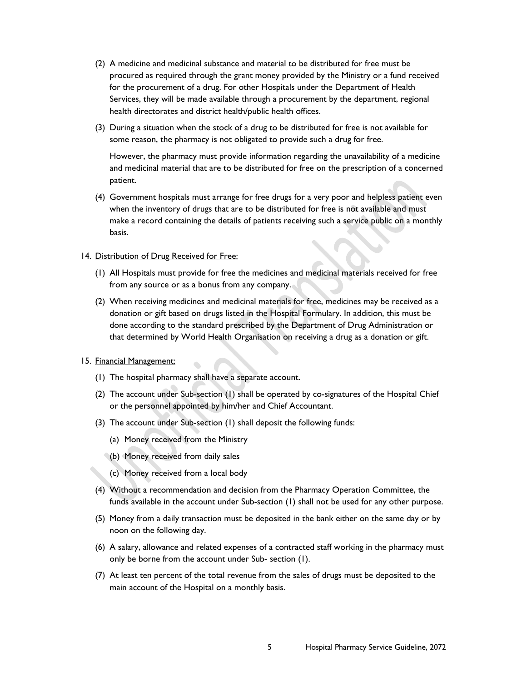- (2) A medicine and medicinal substance and material to be distributed for free must be procured as required through the grant money provided by the Ministry or a fund received for the procurement of a drug. For other Hospitals under the Department of Health Services, they will be made available through a procurement by the department, regional health directorates and district health/public health offices.
- (3) During a situation when the stock of a drug to be distributed for free is not available for some reason, the pharmacy is not obligated to provide such a drug for free.

However, the pharmacy must provide information regarding the unavailability of a medicine and medicinal material that are to be distributed for free on the prescription of a concerned patient.

(4) Government hospitals must arrange for free drugs for a very poor and helpless patient even when the inventory of drugs that are to be distributed for free is not available and must make a record containing the details of patients receiving such a service public on a monthly basis.

#### 14. Distribution of Drug Received for Free:

- (1) All Hospitals must provide for free the medicines and medicinal materials received for free from any source or as a bonus from any company.
- (2) When receiving medicines and medicinal materials for free, medicines may be received as a donation or gift based on drugs listed in the Hospital Formulary. In addition, this must be done according to the standard prescribed by the Department of Drug Administration or that determined by World Health Organisation on receiving a drug as a donation or gift.

## 15. Financial Management:

- (1) The hospital pharmacy shall have a separate account.
- (2) The account under Sub-section (1) shall be operated by co-signatures of the Hospital Chief or the personnel appointed by him/her and Chief Accountant.
- (3) The account under Sub-section (1) shall deposit the following funds:
	- (a) Money received from the Ministry
	- (b) Money received from daily sales
	- (c) Money received from a local body
- (4) Without a recommendation and decision from the Pharmacy Operation Committee, the funds available in the account under Sub-section (1) shall not be used for any other purpose.
- (5) Money from a daily transaction must be deposited in the bank either on the same day or by noon on the following day.
- (6) A salary, allowance and related expenses of a contracted staff working in the pharmacy must only be borne from the account under Sub- section (1).
- (7) At least ten percent of the total revenue from the sales of drugs must be deposited to the main account of the Hospital on a monthly basis.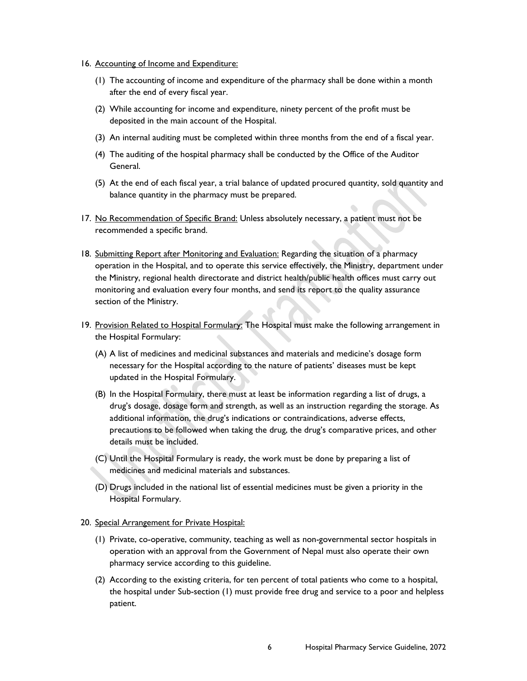- 16. Accounting of Income and Expenditure:
	- (1) The accounting of income and expenditure of the pharmacy shall be done within a month after the end of every fiscal year.
	- (2) While accounting for income and expenditure, ninety percent of the profit must be deposited in the main account of the Hospital.
	- (3) An internal auditing must be completed within three months from the end of a fiscal year.
	- (4) The auditing of the hospital pharmacy shall be conducted by the Office of the Auditor General.
	- (5) At the end of each fiscal year, a trial balance of updated procured quantity, sold quantity and balance quantity in the pharmacy must be prepared.
- 17. No Recommendation of Specific Brand: Unless absolutely necessary, a patient must not be recommended a specific brand.
- 18. Submitting Report after Monitoring and Evaluation: Regarding the situation of a pharmacy operation in the Hospital, and to operate this service effectively, the Ministry, department under the Ministry, regional health directorate and district health/public health offices must carry out monitoring and evaluation every four months, and send its report to the quality assurance section of the Ministry.
- 19. Provision Related to Hospital Formulary: The Hospital must make the following arrangement in the Hospital Formulary:
	- (A) A list of medicines and medicinal substances and materials and medicine's dosage form necessary for the Hospital according to the nature of patients' diseases must be kept updated in the Hospital Formulary.
	- (B) In the Hospital Formulary, there must at least be information regarding a list of drugs, a drug's dosage, dosage form and strength, as well as an instruction regarding the storage. As additional information, the drug's indications or contraindications, adverse effects, precautions to be followed when taking the drug, the drug's comparative prices, and other details must be included.
	- (C) Until the Hospital Formulary is ready, the work must be done by preparing a list of medicines and medicinal materials and substances.
	- (D) Drugs included in the national list of essential medicines must be given a priority in the Hospital Formulary.

## 20. Special Arrangement for Private Hospital:

- (1) Private, co-operative, community, teaching as well as non-governmental sector hospitals in operation with an approval from the Government of Nepal must also operate their own pharmacy service according to this guideline.
- (2) According to the existing criteria, for ten percent of total patients who come to a hospital, the hospital under Sub-section (1) must provide free drug and service to a poor and helpless patient.